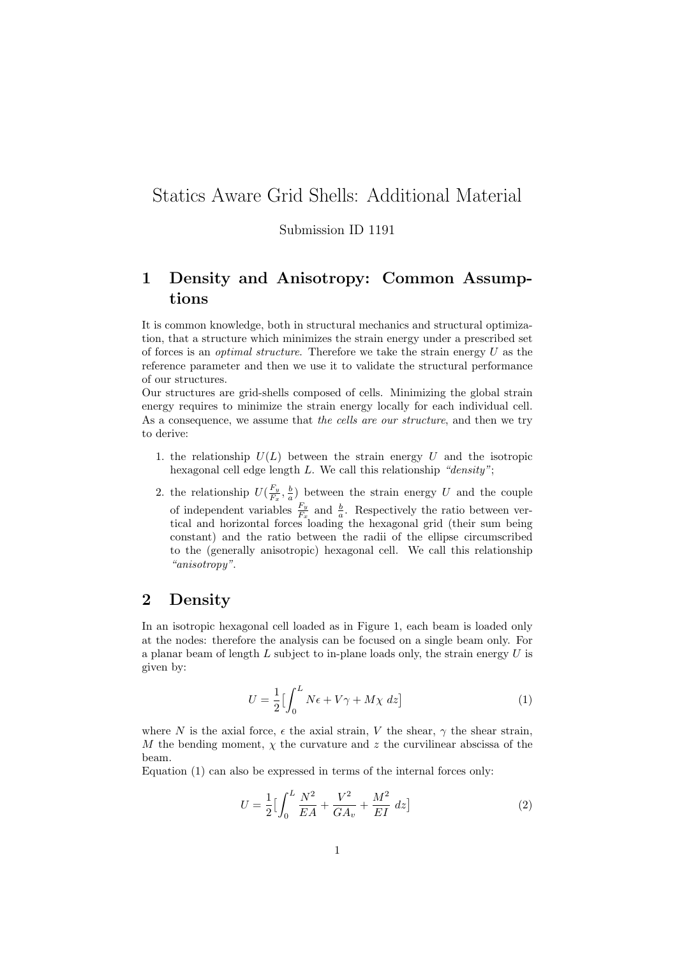## Statics Aware Grid Shells: Additional Material

Submission ID 1191

## 1 Density and Anisotropy: Common Assumptions

It is common knowledge, both in structural mechanics and structural optimization, that a structure which minimizes the strain energy under a prescribed set of forces is an *optimal structure*. Therefore we take the strain energy  $U$  as the reference parameter and then we use it to validate the structural performance of our structures.

Our structures are grid-shells composed of cells. Minimizing the global strain energy requires to minimize the strain energy locally for each individual cell. As a consequence, we assume that the cells are our structure, and then we try to derive:

- 1. the relationship  $U(L)$  between the strain energy U and the isotropic hexagonal cell edge length L. We call this relationship "density";
- 2. the relationship  $U(\frac{F_y}{F_y})$  $\frac{F_y}{F_x}, \frac{b}{a}$  between the strain energy U and the couple of independent variables  $\frac{F_y}{F_x}$  and  $\frac{b}{a}$ . Respectively the ratio between vertical and horizontal forces loading the hexagonal grid (their sum being constant) and the ratio between the radii of the ellipse circumscribed to the (generally anisotropic) hexagonal cell. We call this relationship "anisotropy".

## 2 Density

In an isotropic hexagonal cell loaded as in Figure 1, each beam is loaded only at the nodes: therefore the analysis can be focused on a single beam only. For a planar beam of length  $L$  subject to in-plane loads only, the strain energy  $U$  is given by:

$$
U = \frac{1}{2} \left[ \int_0^L N\epsilon + V\gamma + M\chi \ dz \right]
$$
 (1)

where N is the axial force,  $\epsilon$  the axial strain, V the shear,  $\gamma$  the shear strain, M the bending moment,  $\chi$  the curvature and z the curvilinear abscissa of the beam.

Equation (1) can also be expressed in terms of the internal forces only:

$$
U = \frac{1}{2} \left[ \int_0^L \frac{N^2}{EA} + \frac{V^2}{GA_v} + \frac{M^2}{EI} \, dz \right] \tag{2}
$$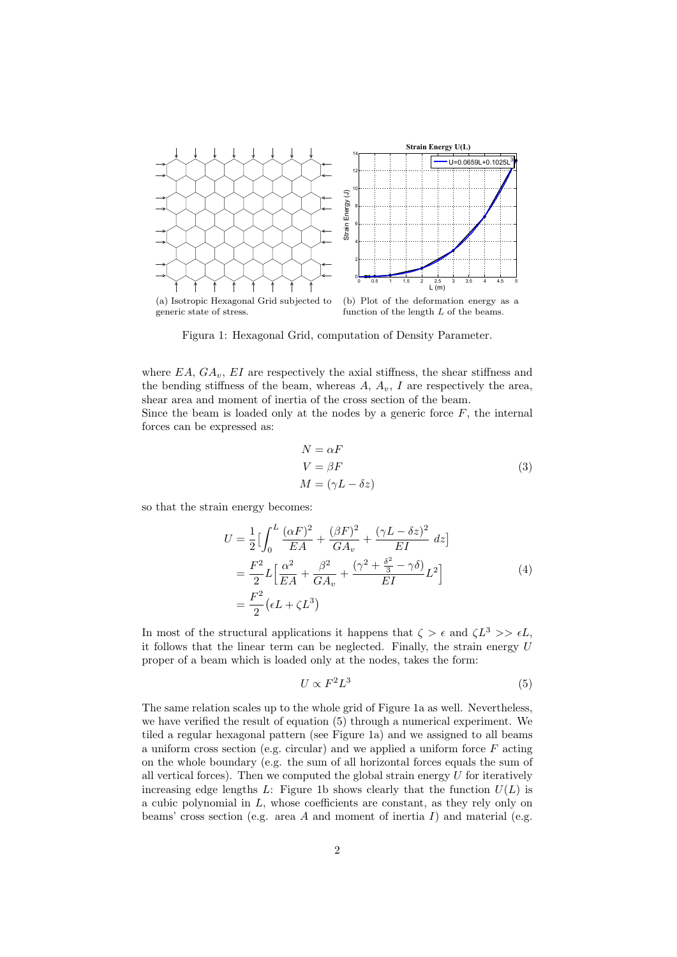

(a) Isotropic Hexagonal Grid subjected to generic state of stress.

(b) Plot of the deformation energy as a function of the length  $L$  of the beams.

Figura 1: Hexagonal Grid, computation of Density Parameter.

where  $EA$ ,  $GA_v$ ,  $EI$  are respectively the axial stiffness, the shear stiffness and the bending stiffness of the beam, whereas  $A, A_v, I$  are respectively the area, shear area and moment of inertia of the cross section of the beam.

Since the beam is loaded only at the nodes by a generic force  $F$ , the internal forces can be expressed as:

$$
N = \alpha F
$$
  
\n
$$
V = \beta F
$$
  
\n
$$
M = (\gamma L - \delta z)
$$
\n(3)

so that the strain energy becomes:

$$
U = \frac{1}{2} \left[ \int_0^L \frac{(\alpha F)^2}{EA} + \frac{(\beta F)^2}{GA_v} + \frac{(\gamma L - \delta z)^2}{EI} dz \right]
$$
  
= 
$$
\frac{F^2}{2} L \left[ \frac{\alpha^2}{EA} + \frac{\beta^2}{GA_v} + \frac{(\gamma^2 + \frac{\delta^2}{3} - \gamma \delta)}{EI} L^2 \right]
$$
  
= 
$$
\frac{F^2}{2} (\epsilon L + \zeta L^3)
$$
 (4)

In most of the structural applications it happens that  $\zeta > \epsilon$  and  $\zeta L^3 >> \epsilon L$ , it follows that the linear term can be neglected. Finally, the strain energy U proper of a beam which is loaded only at the nodes, takes the form:

$$
U \propto F^2 L^3 \tag{5}
$$

The same relation scales up to the whole grid of Figure 1a as well. Nevertheless, we have verified the result of equation (5) through a numerical experiment. We tiled a regular hexagonal pattern (see Figure 1a) and we assigned to all beams a uniform cross section (e.g. circular) and we applied a uniform force  $F$  acting on the whole boundary (e.g. the sum of all horizontal forces equals the sum of all vertical forces). Then we computed the global strain energy  $U$  for iteratively increasing edge lengths L: Figure 1b shows clearly that the function  $U(L)$  is a cubic polynomial in  $L$ , whose coefficients are constant, as they rely only on beams' cross section (e.g. area A and moment of inertia I) and material (e.g.